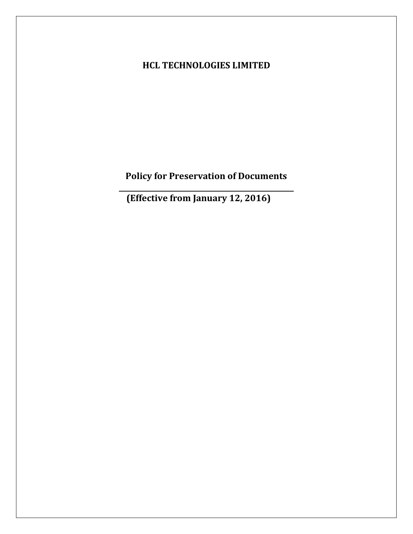# **HCL TECHNOLOGIES LIMITED**

**Policy for Preservation of Documents** 

**(Effective from January 12, 2016)**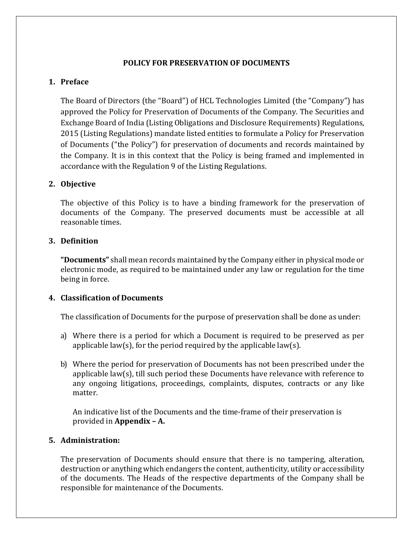# **POLICY FOR PRESERVATION OF DOCUMENTS**

# **1. Preface**

The Board of Directors (the "Board") of HCL Technologies Limited (the "Company") has approved the Policy for Preservation of Documents of the Company. The Securities and Exchange Board of India (Listing Obligations and Disclosure Requirements) Regulations, 2015 (Listing Regulations) mandate listed entities to formulate a Policy for Preservation of Documents ("the Policy") for preservation of documents and records maintained by the Company. It is in this context that the Policy is being framed and implemented in accordance with the Regulation 9 of the Listing Regulations.

# **2. Objective**

The objective of this Policy is to have a binding framework for the preservation of documents of the Company. The preserved documents must be accessible at all reasonable times.

# **3. Definition**

**"Documents"** shall mean records maintained by the Company either in physical mode or electronic mode, as required to be maintained under any law or regulation for the time being in force.

#### **4. Classification of Documents**

The classification of Documents for the purpose of preservation shall be done as under:

- a) Where there is a period for which a Document is required to be preserved as per applicable law(s), for the period required by the applicable law(s).
- b) Where the period for preservation of Documents has not been prescribed under the applicable law(s), till such period these Documents have relevance with reference to any ongoing litigations, proceedings, complaints, disputes, contracts or any like matter.

An indicative list of the Documents and the time-frame of their preservation is provided in **Appendix – A.**

#### **5. Administration:**

The preservation of Documents should ensure that there is no tampering, alteration, destruction or anything which endangers the content, authenticity, utility or accessibility of the documents. The Heads of the respective departments of the Company shall be responsible for maintenance of the Documents.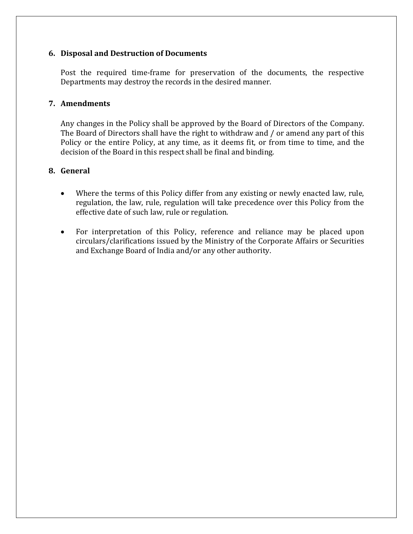# **6. Disposal and Destruction of Documents**

Post the required time-frame for preservation of the documents, the respective Departments may destroy the records in the desired manner.

## **7. Amendments**

Any changes in the Policy shall be approved by the Board of Directors of the Company. The Board of Directors shall have the right to withdraw and / or amend any part of this Policy or the entire Policy, at any time, as it deems fit, or from time to time, and the decision of the Board in this respect shall be final and binding.

# **8. General**

- Where the terms of this Policy differ from any existing or newly enacted law, rule, regulation, the law, rule, regulation will take precedence over this Policy from the effective date of such law, rule or regulation.
- For interpretation of this Policy, reference and reliance may be placed upon circulars/clarifications issued by the Ministry of the Corporate Affairs or Securities and Exchange Board of India and/or any other authority.